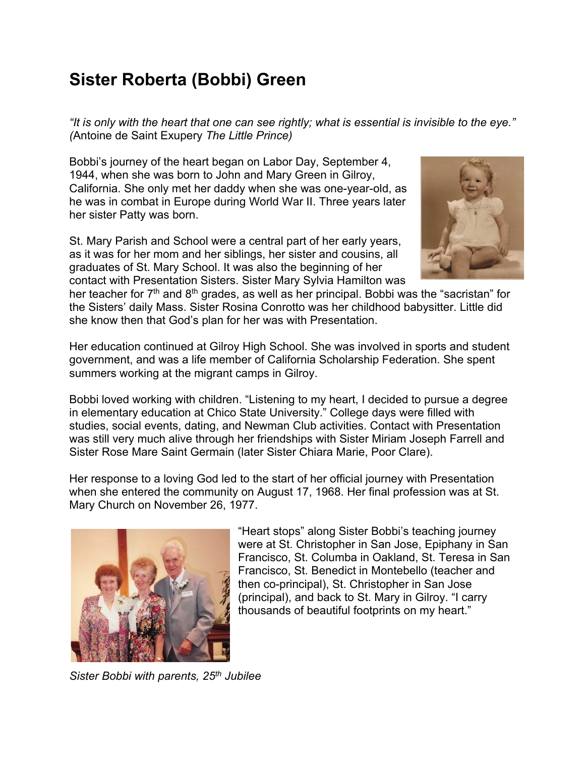## **Sister Roberta (Bobbi) Green**

*"It is only with the heart that one can see rightly; what is essential is invisible to the eye." (*Antoine de Saint Exupery *The Little Prince)*

Bobbi's journey of the heart began on Labor Day, September 4, 1944, when she was born to John and Mary Green in Gilroy, California. She only met her daddy when she was one-year-old, as he was in combat in Europe during World War II. Three years later her sister Patty was born.

St. Mary Parish and School were a central part of her early years, as it was for her mom and her siblings, her sister and cousins, all graduates of St. Mary School. It was also the beginning of her contact with Presentation Sisters. Sister Mary Sylvia Hamilton was



her teacher for  $7<sup>th</sup>$  and  $8<sup>th</sup>$  grades, as well as her principal. Bobbi was the "sacristan" for the Sisters' daily Mass. Sister Rosina Conrotto was her childhood babysitter. Little did she know then that God's plan for her was with Presentation.

Her education continued at Gilroy High School. She was involved in sports and student government, and was a life member of California Scholarship Federation. She spent summers working at the migrant camps in Gilroy.

Bobbi loved working with children. "Listening to my heart, I decided to pursue a degree in elementary education at Chico State University." College days were filled with studies, social events, dating, and Newman Club activities. Contact with Presentation was still very much alive through her friendships with Sister Miriam Joseph Farrell and Sister Rose Mare Saint Germain (later Sister Chiara Marie, Poor Clare).

Her response to a loving God led to the start of her official journey with Presentation when she entered the community on August 17, 1968. Her final profession was at St. Mary Church on November 26, 1977.



"Heart stops" along Sister Bobbi's teaching journey were at St. Christopher in San Jose, Epiphany in San Francisco, St. Columba in Oakland, St. Teresa in San Francisco, St. Benedict in Montebello (teacher and then co-principal), St. Christopher in San Jose (principal), and back to St. Mary in Gilroy. "I carry thousands of beautiful footprints on my heart."

*Sister Bobbi with parents, 25th Jubilee*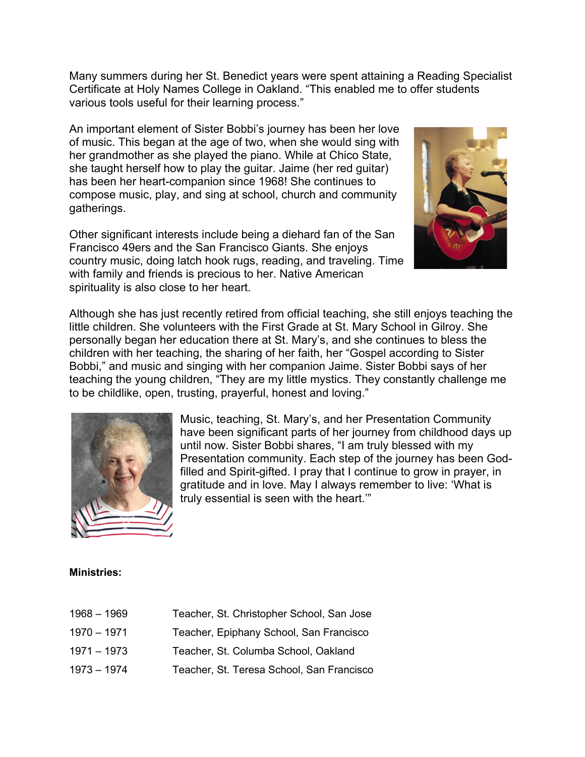Many summers during her St. Benedict years were spent attaining a Reading Specialist Certificate at Holy Names College in Oakland. "This enabled me to offer students various tools useful for their learning process."

An important element of Sister Bobbi's journey has been her love of music. This began at the age of two, when she would sing with her grandmother as she played the piano. While at Chico State, she taught herself how to play the guitar. Jaime (her red guitar) has been her heart-companion since 1968! She continues to compose music, play, and sing at school, church and community gatherings.

Other significant interests include being a diehard fan of the San Francisco 49ers and the San Francisco Giants. She enjoys country music, doing latch hook rugs, reading, and traveling. Time with family and friends is precious to her. Native American spirituality is also close to her heart.



Although she has just recently retired from official teaching, she still enjoys teaching the little children. She volunteers with the First Grade at St. Mary School in Gilroy. She personally began her education there at St. Mary's, and she continues to bless the children with her teaching, the sharing of her faith, her "Gospel according to Sister Bobbi," and music and singing with her companion Jaime. Sister Bobbi says of her teaching the young children, "They are my little mystics. They constantly challenge me to be childlike, open, trusting, prayerful, honest and loving."



Music, teaching, St. Mary's, and her Presentation Community have been significant parts of her journey from childhood days up until now. Sister Bobbi shares, "I am truly blessed with my Presentation community. Each step of the journey has been Godfilled and Spirit-gifted. I pray that I continue to grow in prayer, in gratitude and in love. May I always remember to live: 'What is truly essential is seen with the heart.'"

## **Ministries:**

| $1968 - 1969$ | Teacher, St. Christopher School, San Jose |
|---------------|-------------------------------------------|
| $1970 - 1971$ | Teacher, Epiphany School, San Francisco   |
| $1971 - 1973$ | Teacher, St. Columba School, Oakland      |
| $1973 - 1974$ | Teacher, St. Teresa School, San Francisco |